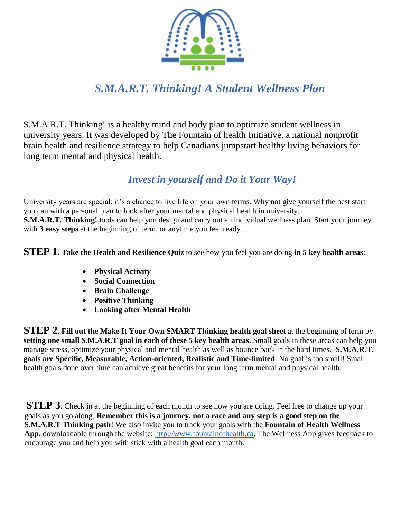

# *S.M.A.R.T. Thinking! A Student Wellness Plan*

S.M.A.R.T. Thinking! is a healthy mind and body plan to optimize student wellness in university years. It was developed by The Fountain of health Initiative, a national nonprofit brain health and resilience strategy to help Canadians jumpstart healthy living behaviors for long term mental and physical health.

## *Invest in yourself and Do it Your Way!*

University years are special: it's a chance to live life on your own terms. Why not give yourself the best start you can with a personal plan to look after your mental and physical health in university. **S.M.A.R.T. Thinking!** tools can help you design and carry out an individual wellness plan. Start your journey with **3 easy steps** at the beginning of term, or anytime you feel ready…

**STEP 1. Take the Health and Resilience Quiz** to see how you feel you are doing **in 5 key health areas**:

- **Physical Activity**
- **Social Connection**
- **Brain Challenge**
- **Positive Thinking**
- **Looking after Mental Health**

**STEP 2**. **Fill out the Make It Your Own SMART Thinking health goal sheet** at the beginning of term by **setting one small S.M.A.R.T goal in each of these 5 key health areas.** Small goals in these areas can help you manage stress, optimize your physical and mental health as well as bounce back in the hard times. **S.M.A.R.T. goals are Specific, Measurable, Action-oriented, Realistic and Time-limited**. No goal is too small! Small health goals done over time can achieve great benefits for your long term mental and physical health.

**STEP 3**. Check in at the beginning of each month to see how you are doing. Feel free to change up your goals as you go along. **Remember this is a journey, not a race and any step is a good step on the S.M.A.R.T Thinking path**! We also invite you to track your goals with the **Fountain of Health Wellness App**, downloadable through the website: [http://www.fountainofhealth.ca.](http://www.fountainofhealth.ca/) The Wellness App gives feedback to encourage you and help you with stick with a health goal each month.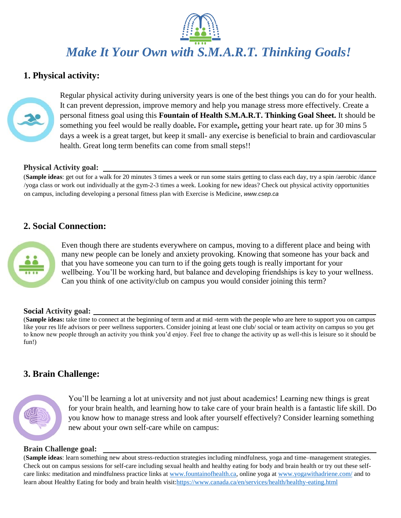*Make It Your Own with S.M.A.R.T. Thinking Goals!*

### **1. Physical activity:**



Regular physical activity during university years is one of the best things you can do for your health. It can prevent depression, improve memory and help you manage stress more effectively. Create a personal fitness goal using this **Fountain of Health S.M.A.R.T. Thinking Goal Sheet.** It should be something you feel would be really doable**.** For example**,** getting your heart rate. up for 30 mins 5 days a week is a great target, but keep it small- any exercise is beneficial to brain and cardiovascular health. Great long term benefits can come from small steps!!

#### **Physical Activity goal:**

(**Sample ideas**: get out for a walk for 20 minutes 3 times a week or run some stairs getting to class each day, try a spin /aerobic /dance /yoga class or work out individually at the gym-2-3 times a week. Looking for new ideas? Check out physical activity opportunities on campus, including developing a personal fitness plan with Exercise is Medicine, *www.csep.ca*

### **2. Social Connection:**



Even though there are students everywhere on campus, moving to a different place and being with many new people can be lonely and anxiety provoking. Knowing that someone has your back and that you have someone you can turn to if the going gets tough is really important for your wellbeing. You'll be working hard, but balance and developing friendships is key to your wellness. Can you think of one activity/club on campus you would consider joining this term?

#### **Social Activity goal:**

(**Sample ideas:** take time to connect at the beginning of term and at mid -term with the people who are here to support you on campus like your res life advisors or peer wellness supporters. Consider joining at least one club/ social or team activity on campus so you get to know new people through an activity you think you'd enjoy. Feel free to change the activity up as well-this is leisure so it should be fun!)

### **3. Brain Challenge:**



You'll be learning a lot at university and not just about academics! Learning new things is great for your brain health, and learning how to take care of your brain health is a fantastic life skill. Do you know how to manage stress and look after yourself effectively? Consider learning something new about your own self-care while on campus:

#### **Brain Challenge goal:**

(**Sample ideas**: learn something new about stress-reduction strategies including mindfulness, yoga and time–management strategies. Check out on campus sessions for self-care including sexual health and healthy eating for body and brain health or try out these selfcare links: meditation and mindfulness practice links at [www.fountainofhealth.ca,](http://www.fountainofhealth.ca/) online yoga at [www.yogawithadriene.com/](http://www.yogawithadriene.com/) and to learn about Healthy Eating for body and brain health visit[:https://www.canada.ca/en/services/health/healthy-eating.html](https://www.canada.ca/en/services/health/healthy-eating.html)